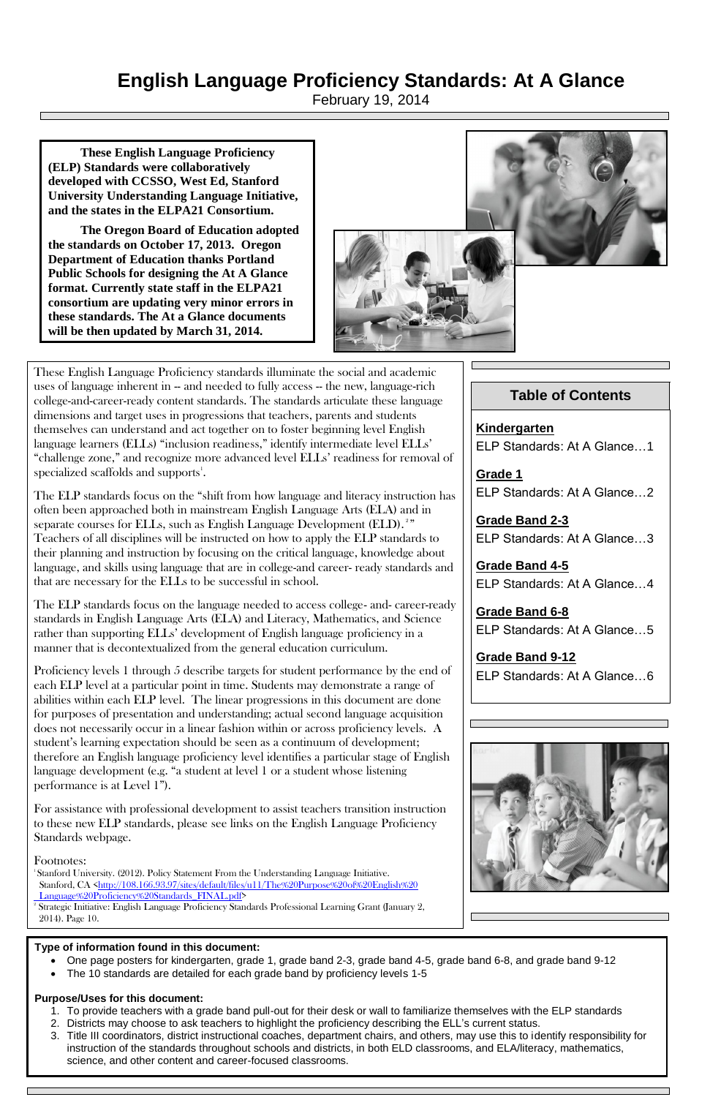# **English Language Proficiency Standards: At A Glance**

February 19, 2014

### **Table of Contents**

**Kindergarten** ELP Standards: At A Glance…1

**Grade 1** ELP Standards: At A Glance…2

These English Language Proficiency standards illuminate the social and academic uses of language inherent in -- and needed to fully access -- the new, language-rich college-and-career-ready content standards. The standards articulate these language dimensions and target uses in progressions that teachers, parents and students themselves can understand and act together on to foster beginning level English language learners (ELLs) "inclusion readiness," identify intermediate level ELLs' "challenge zone," and recognize more advanced level ELLs' readiness for removal of  $s$ pecialized scaffolds and supports $^{1}$ .

> **Grade Band 2-3** ELP Standards: At A Glance…3

> **Grade Band 4-5** ELP Standards: At A Glance…4

> **Grade Band 6-8** ELP Standards: At A Glance…5

> **Grade Band 9-12** ELP Standards: At A Glance…6



The ELP standards focus on the "shift from how language and literacy instruction has often been approached both in mainstream English Language Arts (ELA) and in separate courses for ELLs, such as English Language Development (ELD).<sup>2</sup>" Teachers of all disciplines will be instructed on how to apply the ELP standards to their planning and instruction by focusing on the critical language, knowledge about language, and skills using language that are in college-and career- ready standards and that are necessary for the ELLs to be successful in school.

<sup>1</sup>Stanford University. (2012). Policy Statement From the Understanding Language Initiative. Stanford, CA [<http://108.166.93.97/sites/default/files/u11/The%20Purpose%20of%20English%20](http://108.166.93.97/sites/default/files/u11/The%20Purpose%20of%20English%20Language%20Proficiency%20Standards_FINAL.pdf)  [Language%20Proficiency%20Standards\\_FINAL.pdf>](http://108.166.93.97/sites/default/files/u11/The%20Purpose%20of%20English%20Language%20Proficiency%20Standards_FINAL.pdf)

The ELP standards focus on the language needed to access college- and- career-ready standards in English Language Arts (ELA) and Literacy, Mathematics, and Science rather than supporting ELLs' development of English language proficiency in a manner that is decontextualized from the general education curriculum.

- One page posters for kindergarten, grade 1, grade band 2-3, grade band 4-5, grade band 6-8, and grade band 9-12
- The 10 standards are detailed for each grade band by proficiency levels 1-5

Proficiency levels 1 through 5 describe targets for student performance by the end of each ELP level at a particular point in time. Students may demonstrate a range of abilities within each ELP level. The linear progressions in this document are done for purposes of presentation and understanding; actual second language acquisition does not necessarily occur in a linear fashion within or across proficiency levels. A student's learning expectation should be seen as a continuum of development; therefore an English language proficiency level identifies a particular stage of English language development (e.g. "a student at level 1 or a student whose listening performance is at Level 1").

For assistance with professional development to assist teachers transition instruction to these new ELP standards, please see links on the English Language Proficiency Standards webpage.

### Footnotes:

2 Strategic Initiative: English Language Proficiency Standards Professional Learning Grant (January 2, 2014). Page 10.

**These English Language Proficiency (ELP) Standards were collaboratively developed with CCSSO, West Ed, Stanford University Understanding Language Initiative, and the states in the ELPA21 Consortium.** 

**The Oregon Board of Education adopted the standards on October 17, 2013. Oregon Department of Education thanks Portland Public Schools for designing the At A Glance format. Currently state staff in the ELPA21 consortium are updating very minor errors in these standards. The At a Glance documents will be then updated by March 31, 2014.**



### **Type of information found in this document:**

### **Purpose/Uses for this document:**

- 1. To provide teachers with a grade band pull-out for their desk or wall to familiarize themselves with the ELP standards
- 2. Districts may choose to ask teachers to highlight the proficiency describing the ELL's current status.
- 3. Title III coordinators, district instructional coaches, department chairs, and others, may use this to identify responsibility for instruction of the standards throughout schools and districts, in both ELD classrooms, and ELA/literacy, mathematics, science, and other content and career-focused classrooms.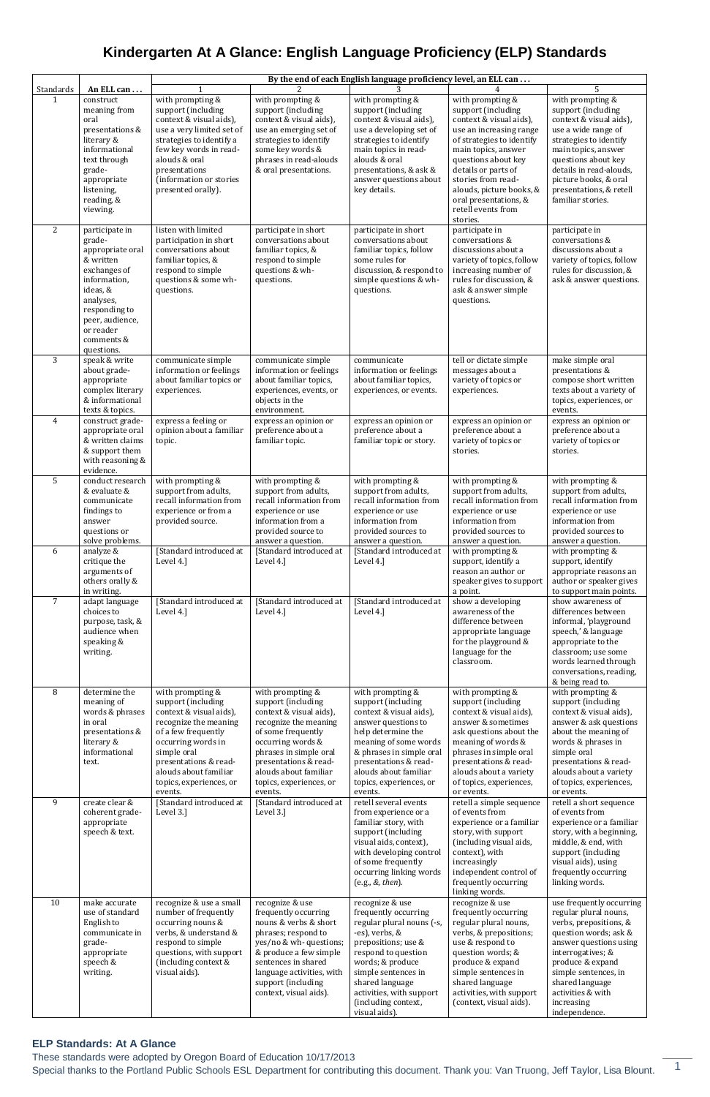These standards were adopted by Oregon Board of Education 10/17/2013

Special thanks to the Portland Public Schools ESL Department for contributing this document. Thank you: Van Truong, Jeff Taylor, Lisa Blount. 1

## **Kindergarten At A Glance: English Language Proficiency (ELP) Standards**

|                           |                                                                                                                                                                                    | By the end of each English language proficiency level, an ELL can                                                                                                                                                                              |                                                                                                                                                                                                                                                         |                                                                                                                                                                                                                                                                        |                                                                                                                                                                                                                                                                                                             |                                                                                                                                                                                                                                                                           |
|---------------------------|------------------------------------------------------------------------------------------------------------------------------------------------------------------------------------|------------------------------------------------------------------------------------------------------------------------------------------------------------------------------------------------------------------------------------------------|---------------------------------------------------------------------------------------------------------------------------------------------------------------------------------------------------------------------------------------------------------|------------------------------------------------------------------------------------------------------------------------------------------------------------------------------------------------------------------------------------------------------------------------|-------------------------------------------------------------------------------------------------------------------------------------------------------------------------------------------------------------------------------------------------------------------------------------------------------------|---------------------------------------------------------------------------------------------------------------------------------------------------------------------------------------------------------------------------------------------------------------------------|
| Standards<br>$\mathbf{1}$ | An ELL can<br>construct<br>meaning from<br>oral<br>presentations &<br>literary &<br>informational<br>text through<br>grade-<br>appropriate<br>listening,<br>reading, &<br>viewing. | with prompting &<br>support (including<br>context & visual aids),<br>use a very limited set of<br>strategies to identify a<br>few key words in read-<br>alouds & oral<br>presentations<br>(information or stories<br>presented orally).        | with prompting &<br>support (including<br>context & visual aids),<br>use an emerging set of<br>strategies to identify<br>some key words &<br>phrases in read-alouds<br>& oral presentations.                                                            | with prompting &<br>support (including<br>context & visual aids),<br>use a developing set of<br>strategies to identify<br>main topics in read-<br>alouds & oral<br>presentations, & ask &<br>answer questions about<br>key details.                                    | with prompting &<br>support (including<br>context & visual aids),<br>use an increasing range<br>of strategies to identify<br>main topics, answer<br>questions about key<br>details or parts of<br>stories from read-<br>alouds, picture books, &<br>oral presentations, &<br>retell events from<br>stories. | 5<br>with prompting &<br>support (including<br>context & visual aids),<br>use a wide range of<br>strategies to identify<br>main topics, answer<br>questions about key<br>details in read-alouds,<br>picture books, & oral<br>presentations, & retell<br>familiar stories. |
| 2                         | participate in<br>grade-<br>appropriate oral<br>& written<br>exchanges of<br>information,<br>ideas, &<br>analyses,<br>responding to<br>peer, audience,<br>or reader<br>comments &  | listen with limited<br>participation in short<br>conversations about<br>familiar topics, &<br>respond to simple<br>questions & some wh-<br>questions.                                                                                          | participate in short<br>conversations about<br>familiar topics, &<br>respond to simple<br>questions & wh-<br>questions.                                                                                                                                 | participate in short<br>conversations about<br>familiar topics, follow<br>some rules for<br>discussion, & respond to<br>simple questions & wh-<br>questions.                                                                                                           | participate in<br>conversations &<br>discussions about a<br>variety of topics, follow<br>increasing number of<br>rules for discussion, &<br>ask & answer simple<br>questions.                                                                                                                               | participate in<br>conversations &<br>discussions about a<br>variety of topics, follow<br>rules for discussion, &<br>ask & answer questions.                                                                                                                               |
| 3                         | questions.<br>speak & write<br>about grade-<br>appropriate<br>complex literary<br>& informational<br>texts & topics.                                                               | communicate simple<br>information or feelings<br>about familiar topics or<br>experiences.                                                                                                                                                      | communicate simple<br>information or feelings<br>about familiar topics,<br>experiences, events, or<br>objects in the<br>environment.                                                                                                                    | communicate<br>information or feelings<br>about familiar topics,<br>experiences, or events.                                                                                                                                                                            | tell or dictate simple<br>messages about a<br>variety of topics or<br>experiences.                                                                                                                                                                                                                          | make simple oral<br>presentations &<br>compose short written<br>texts about a variety of<br>topics, experiences, or<br>events.                                                                                                                                            |
| $\overline{4}$            | construct grade-<br>appropriate oral<br>& written claims<br>& support them<br>with reasoning &<br>evidence.                                                                        | express a feeling or<br>opinion about a familiar<br>topic.                                                                                                                                                                                     | express an opinion or<br>preference about a<br>familiar topic.                                                                                                                                                                                          | express an opinion or<br>preference about a<br>familiar topic or story.                                                                                                                                                                                                | express an opinion or<br>preference about a<br>variety of topics or<br>stories.                                                                                                                                                                                                                             | express an opinion or<br>preference about a<br>variety of topics or<br>stories.                                                                                                                                                                                           |
| 5                         | conduct research<br>& evaluate &<br>communicate<br>findings to<br>answer<br>questions or<br>solve problems.                                                                        | with prompting &<br>support from adults,<br>recall information from<br>experience or from a<br>provided source.                                                                                                                                | with prompting &<br>support from adults,<br>recall information from<br>experience or use<br>information from a<br>provided source to<br>answer a question.                                                                                              | with prompting &<br>support from adults,<br>recall information from<br>experience or use<br>information from<br>provided sources to<br>answer a question.                                                                                                              | with prompting &<br>support from adults,<br>recall information from<br>experience or use<br>information from<br>provided sources to<br>answer a question.                                                                                                                                                   | with prompting &<br>support from adults,<br>recall information from<br>experience or use<br>information from<br>provided sources to<br>answer a question.                                                                                                                 |
| 6                         | analyze &<br>critique the<br>arguments of<br>others orally &<br>in writing.                                                                                                        | [Standard introduced at<br>Level 4.]                                                                                                                                                                                                           | [Standard introduced at<br>Level 4.]                                                                                                                                                                                                                    | [Standard introduced at<br>Level 4.]                                                                                                                                                                                                                                   | with prompting &<br>support, identify a<br>reason an author or<br>speaker gives to support<br>a point.                                                                                                                                                                                                      | with prompting &<br>support, identify<br>appropriate reasons an<br>author or speaker gives<br>to support main points.                                                                                                                                                     |
| $\overline{7}$            | adapt language<br>choices to<br>purpose, task, &<br>audience when<br>speaking &<br>writing.                                                                                        | [Standard introduced at<br>Level 4.]                                                                                                                                                                                                           | [Standard introduced at<br>Level 4.]                                                                                                                                                                                                                    | [Standard introduced at<br>Level 4.]                                                                                                                                                                                                                                   | show a developing<br>awareness of the<br>difference between<br>appropriate language<br>for the playground &<br>language for the<br>classroom.                                                                                                                                                               | show awareness of<br>differences between<br>informal, 'playground<br>speech,' & language<br>appropriate to the<br>classroom; use some<br>words learned through<br>conversations, reading,<br>& being read to.                                                             |
| 8                         | determine the<br>meaning of<br>words & phrases<br>in oral<br>presentations &<br>literary &<br>informational<br>text.                                                               | with prompting &<br>support (including<br>context & visual aids),<br>recognize the meaning<br>of a few frequently<br>occurring words in<br>simple oral<br>presentations & read-<br>alouds about familiar<br>topics, experiences, or<br>events. | with prompting &<br>support (including<br>context & visual aids),<br>recognize the meaning<br>of some frequently<br>occurring words &<br>phrases in simple oral<br>presentations & read-<br>alouds about familiar<br>topics, experiences, or<br>events. | with prompting &<br>support (including<br>context & visual aids),<br>answer questions to<br>help determine the<br>meaning of some words<br>& phrases in simple oral<br>presentations & read-<br>alouds about familiar<br>topics, experiences, or<br>events.            | with prompting &<br>support (including<br>context & visual aids),<br>answer & sometimes<br>ask questions about the<br>meaning of words &<br>phrases in simple oral<br>presentations & read-<br>alouds about a variety<br>of topics, experiences,<br>or events.                                              | with prompting &<br>support (including<br>context & visual aids),<br>answer & ask questions<br>about the meaning of<br>words & phrases in<br>simple oral<br>presentations & read-<br>alouds about a variety<br>of topics, experiences,<br>or events.                      |
| 9                         | create clear &<br>coherent grade-<br>appropriate<br>speech & text.                                                                                                                 | [Standard introduced at<br>Level 3.]                                                                                                                                                                                                           | [Standard introduced at<br>Level 3.]                                                                                                                                                                                                                    | retell several events<br>from experience or a<br>familiar story, with<br>support (including<br>visual aids, context),<br>with developing control<br>of some frequently<br>occurring linking words<br>(e.g., &, then).                                                  | retell a simple sequence<br>of events from<br>experience or a familiar<br>story, with support<br>(including visual aids,<br>context), with<br>increasingly<br>independent control of<br>frequently occurring<br>linking words.                                                                              | retell a short sequence<br>of events from<br>experience or a familiar<br>story, with a beginning,<br>middle, & end, with<br>support (including<br>visual aids), using<br>frequently occurring<br>linking words.                                                           |
| 10                        | make accurate<br>use of standard<br>English to<br>communicate in<br>grade-<br>appropriate<br>speech &<br>writing.                                                                  | recognize & use a small<br>number of frequently<br>occurring nouns &<br>verbs, & understand &<br>respond to simple<br>questions, with support<br>(including context &<br>visual aids).                                                         | recognize & use<br>frequently occurring<br>nouns & verbs & short<br>phrases; respond to<br>yes/no & wh- questions;<br>& produce a few simple<br>sentences in shared<br>language activities, with<br>support (including<br>context, visual aids).        | recognize & use<br>frequently occurring<br>regular plural nouns (-s,<br>-es), verbs, &<br>prepositions; use &<br>respond to question<br>words; & produce<br>simple sentences in<br>shared language<br>activities, with support<br>(including context,<br>visual aids). | recognize & use<br>frequently occurring<br>regular plural nouns,<br>verbs, & prepositions;<br>use & respond to<br>question words; &<br>produce & expand<br>simple sentences in<br>shared language<br>activities, with support<br>(context, visual aids).                                                    | use frequently occurring<br>regular plural nouns,<br>verbs, prepositions, &<br>question words; ask &<br>answer questions using<br>interrogatives; &<br>produce & expand<br>simple sentences, in<br>shared language<br>activities & with<br>increasing<br>independence.    |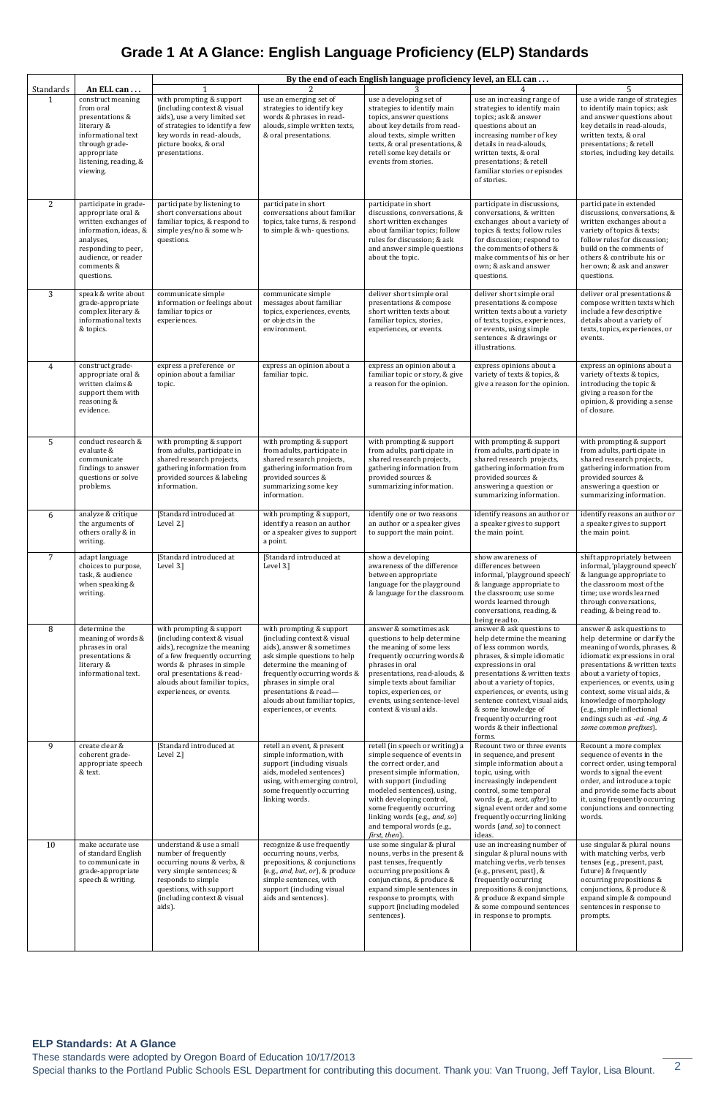These standards were adopted by Oregon Board of Education 10/17/2013

Special thanks to the Portland Public Schools ESL Department for contributing this document. Thank you: Van Truong, Jeff Taylor, Lisa Blount. <sup>2</sup>

## **Grade 1 At A Glance: English Language Proficiency (ELP) Standards**

| Standards      | An ELL can                                                                                                                                                                          | By the end of each English language proficiency level, an ELL can<br>5                                                                                                                                                                          |                                                                                                                                                                                                                                                                                                 |                                                                                                                                                                                                                                                                                                                           |                                                                                                                                                                                                                                                                                                                                                                      |                                                                                                                                                                                                                                                                                                                                                                                |  |
|----------------|-------------------------------------------------------------------------------------------------------------------------------------------------------------------------------------|-------------------------------------------------------------------------------------------------------------------------------------------------------------------------------------------------------------------------------------------------|-------------------------------------------------------------------------------------------------------------------------------------------------------------------------------------------------------------------------------------------------------------------------------------------------|---------------------------------------------------------------------------------------------------------------------------------------------------------------------------------------------------------------------------------------------------------------------------------------------------------------------------|----------------------------------------------------------------------------------------------------------------------------------------------------------------------------------------------------------------------------------------------------------------------------------------------------------------------------------------------------------------------|--------------------------------------------------------------------------------------------------------------------------------------------------------------------------------------------------------------------------------------------------------------------------------------------------------------------------------------------------------------------------------|--|
|                | construct meaning<br>from oral<br>presentations &<br>literary &<br>informational text<br>through grade-<br>appropriate<br>listening, reading, &<br>viewing.                         | with prompting & support<br>(including context & visual<br>aids), use a very limited set<br>of strategies to identify a few<br>key words in read-alouds,<br>picture books, & oral<br>presentations.                                             | use an emerging set of<br>strategies to identify key<br>words & phrases in read-<br>alouds, simple written texts,<br>& oral presentations.                                                                                                                                                      | use a developing set of<br>strategies to identify main<br>topics, answer questions<br>about key details from read-<br>aloud texts, simple written<br>texts, & oral presentations, &<br>retell some key details or<br>events from stories.                                                                                 | use an increasing range of<br>strategies to identify main<br>topics; ask & answer<br>questions about an<br>increasing number of key<br>details in read-alouds,<br>written texts, & oral<br>presentations; & retell<br>familiar stories or episodes<br>of stories.                                                                                                    | use a wide range of strategies<br>to identify main topics; ask<br>and answer questions about<br>key details in read-alouds,<br>written texts, & oral<br>presentations; & retell<br>stories, including key details.                                                                                                                                                             |  |
| $\overline{2}$ | participate in grade-<br>appropriate oral &<br>written exchanges of<br>information, ideas, &<br>analyses,<br>responding to peer,<br>audience, or reader<br>comments &<br>questions. | participate by listening to<br>short conversations about<br>familiar topics, & respond to<br>simple yes/no & some wh-<br>questions.                                                                                                             | participate in short<br>conversations about familiar<br>topics, take turns, & respond<br>to simple & wh- questions.                                                                                                                                                                             | participate in short<br>discussions, conversations, &<br>short written exchanges<br>about familiar topics; follow<br>rules for discussion; & ask<br>and answer simple questions<br>about the topic.                                                                                                                       | participate in discussions,<br>conversations, & written<br>exchanges about a variety of<br>topics & texts; follow rules<br>for discussion; respond to<br>the comments of others &<br>make comments of his or her<br>own; & ask and answer<br>questions.                                                                                                              | participate in extended<br>discussions, conversations, &<br>written exchanges about a<br>variety of topics & texts;<br>follow rules for discussion;<br>build on the comments of<br>others & contribute his or<br>her own; & ask and answer<br>questions.                                                                                                                       |  |
| 3              | speak & write about<br>grade-appropriate<br>complex literary &<br>informational texts<br>& topics.                                                                                  | communicate simple<br>information or feelings about<br>familiar topics or<br>experiences.                                                                                                                                                       | communicate simple<br>messages about familiar<br>topics, experiences, events,<br>or objects in the<br>environment.                                                                                                                                                                              | deliver short simple oral<br>presentations & compose<br>short written texts about<br>familiar topics, stories,<br>experiences, or events.                                                                                                                                                                                 | deliver short simple oral<br>presentations & compose<br>written texts about a variety<br>of texts, topics, experiences,<br>or events, using simple<br>sentences & drawings or<br>illustrations.                                                                                                                                                                      | deliver oral presentations &<br>compose written texts which<br>include a few descriptive<br>details about a variety of<br>texts, topics, experiences, or<br>events.                                                                                                                                                                                                            |  |
| $\overline{4}$ | construct grade-<br>appropriate oral &<br>written claims &<br>support them with<br>reasoning &<br>evidence.                                                                         | express a preference or<br>opinion about a familiar<br>topic.                                                                                                                                                                                   | express an opinion about a<br>familiar topic.                                                                                                                                                                                                                                                   | express an opinion about a<br>familiar topic or story, & give<br>a reason for the opinion.                                                                                                                                                                                                                                | express opinions about a<br>variety of texts & topics, &<br>give a reason for the opinion.                                                                                                                                                                                                                                                                           | express an opinions about a<br>variety of texts & topics,<br>introducing the topic &<br>giving a reason for the<br>opinion, & providing a sense<br>of closure.                                                                                                                                                                                                                 |  |
| 5              | conduct research &<br>evaluate &<br>communicate<br>findings to answer<br>questions or solve<br>problems.                                                                            | with prompting & support<br>from adults, participate in<br>shared research projects,<br>gathering information from<br>provided sources & labeling<br>information.                                                                               | with prompting & support<br>from adults, participate in<br>shared research projects,<br>gathering information from<br>provided sources &<br>summarizing some key<br>information.                                                                                                                | with prompting & support<br>from adults, participate in<br>shared research projects,<br>gathering information from<br>provided sources &<br>summarizing information.                                                                                                                                                      | with prompting & support<br>from adults, participate in<br>shared research projects,<br>gathering information from<br>provided sources &<br>answering a question or<br>summarizing information.                                                                                                                                                                      | with prompting & support<br>from adults, participate in<br>shared research projects,<br>gathering information from<br>provided sources &<br>answering a question or<br>summarizing information.                                                                                                                                                                                |  |
| 6              | analyze & critique<br>the arguments of<br>others orally & in<br>writing.                                                                                                            | [Standard introduced at<br>Level 2.]                                                                                                                                                                                                            | with prompting & support,<br>identify a reason an author<br>or a speaker gives to support<br>a point.                                                                                                                                                                                           | identify one or two reasons<br>an author or a speaker gives<br>to support the main point.                                                                                                                                                                                                                                 | identify reasons an author or<br>a speaker gives to support<br>the main point.                                                                                                                                                                                                                                                                                       | identify reasons an author or<br>a speaker gives to support<br>the main point.                                                                                                                                                                                                                                                                                                 |  |
| $\overline{7}$ | adapt language<br>choices to purpose,<br>task, & audience<br>when speaking &<br>writing.                                                                                            | [Standard introduced at<br>Level 3.1                                                                                                                                                                                                            | [Standard introduced at<br>Level 3.]                                                                                                                                                                                                                                                            | show a developing<br>awareness of the difference<br>between appropriate<br>language for the playground<br>& language for the classroom.                                                                                                                                                                                   | show awareness of<br>differences between<br>informal, 'playground speech'<br>& language appropriate to<br>the classroom; use some<br>words learned through<br>conversations, reading, &<br>being read to.                                                                                                                                                            | shift appropriately between<br>informal, 'playground speech'<br>& language appropriate to<br>the classroom most of the<br>time; use words learned<br>through conversations,<br>reading, & being read to.                                                                                                                                                                       |  |
| $\, 8$         | determine the<br>meaning of words &<br>phrases in oral<br>presentations &<br>literary &<br>informational text.                                                                      | with prompting & support<br>(including context & visual<br>aids), recognize the meaning<br>of a few frequently occurring<br>words & phrases in simple<br>oral presentations & read-<br>alouds about familiar topics,<br>experiences, or events. | with prompting & support<br>(including context & visual<br>aids), answer & sometimes<br>ask simple questions to help<br>determine the meaning of<br>frequently occurring words &<br>phrases in simple oral<br>presentations & read-<br>alouds about familiar topics,<br>experiences, or events. | answer & sometimes ask<br>questions to help determine<br>the meaning of some less<br>frequently occurring words &<br>phrases in oral<br>presentations, read-alouds, &<br>simple texts about familiar<br>topics, experiences, or<br>events, using sentence-level<br>context & visual aids.                                 | answer & ask questions to<br>help determine the meaning<br>of less common words,<br>phrases, & simple idiomatic<br>expressions in oral<br>presentations & written texts<br>about a variety of topics,<br>experiences, or events, using<br>sentence context, visual aids,<br>& some knowledge of<br>frequently occurring root<br>words & their inflectional<br>forms. | answer & ask questions to<br>help determine or clarify the<br>meaning of words, phrases, &<br>idiomatic expressions in oral<br>presentations & written texts<br>about a variety of topics,<br>experiences, or events, using<br>context, some visual aids, &<br>knowledge of morphology<br>(e.g., simple inflectional<br>endings such as -ed. -ing, &<br>some common prefixes). |  |
| 9              | create clear &<br>coherent grade-<br>appropriate speech<br>& text.                                                                                                                  | [Standard introduced at<br>Level 2.]                                                                                                                                                                                                            | retell an event, & present<br>simple information, with<br>support (including visuals<br>aids, modeled sentences)<br>using, with emerging control,<br>some frequently occurring<br>linking words.                                                                                                | retell (in speech or writing) a<br>simple sequence of events in<br>the correct order, and<br>present simple information,<br>with support (including<br>modeled sentences), using,<br>with developing control,<br>some frequently occurring<br>linking words (e.g., and, so)<br>and temporal words (e.g.,<br>first, then). | Recount two or three events<br>in sequence, and present<br>simple information about a<br>topic, using, with<br>increasingly independent<br>control, some temporal<br>words (e.g., next, after) to<br>signal event order and some<br>frequently occurring linking<br>words (and, so) to connect<br>ideas.                                                             | Recount a more complex<br>sequence of events in the<br>correct order, using temporal<br>words to signal the event<br>order, and introduce a topic<br>and provide some facts about<br>it, using frequently occurring<br>conjunctions and connecting<br>words.                                                                                                                   |  |
| 10             | make accurate use<br>of standard English<br>to communicate in<br>grade-appropriate<br>speech & writing.                                                                             | understand & use a small<br>number of frequently<br>occurring nouns & verbs, &<br>very simple sentences; &<br>responds to simple<br>questions, with support<br>(including context & visual<br>aids).                                            | recognize & use frequently<br>occurring nouns, verbs,<br>prepositions, & conjunctions<br>(e.g., and, but, or), & produce<br>simple sentences, with<br>support (including visual<br>aids and sentences).                                                                                         | use some singular & plural<br>nouns, verbs in the present &<br>past tenses, frequently<br>occurring prepositions &<br>conjunctions, & produce &<br>expand simple sentences in<br>response to prompts, with<br>support (including modeled<br>sentences).                                                                   | use an increasing number of<br>singular & plural nouns with<br>matching verbs, verb tenses<br>(e.g., present, past), &<br>frequently occurring<br>prepositions & conjunctions,<br>& produce & expand simple<br>& some compound sentences<br>in response to prompts.                                                                                                  | use singular & plural nouns<br>with matching verbs, verb<br>tenses (e.g., present, past,<br>future) & frequently<br>occurring prepositions &<br>conjunctions, & produce &<br>expand simple & compound<br>sentences in response to<br>prompts.                                                                                                                                  |  |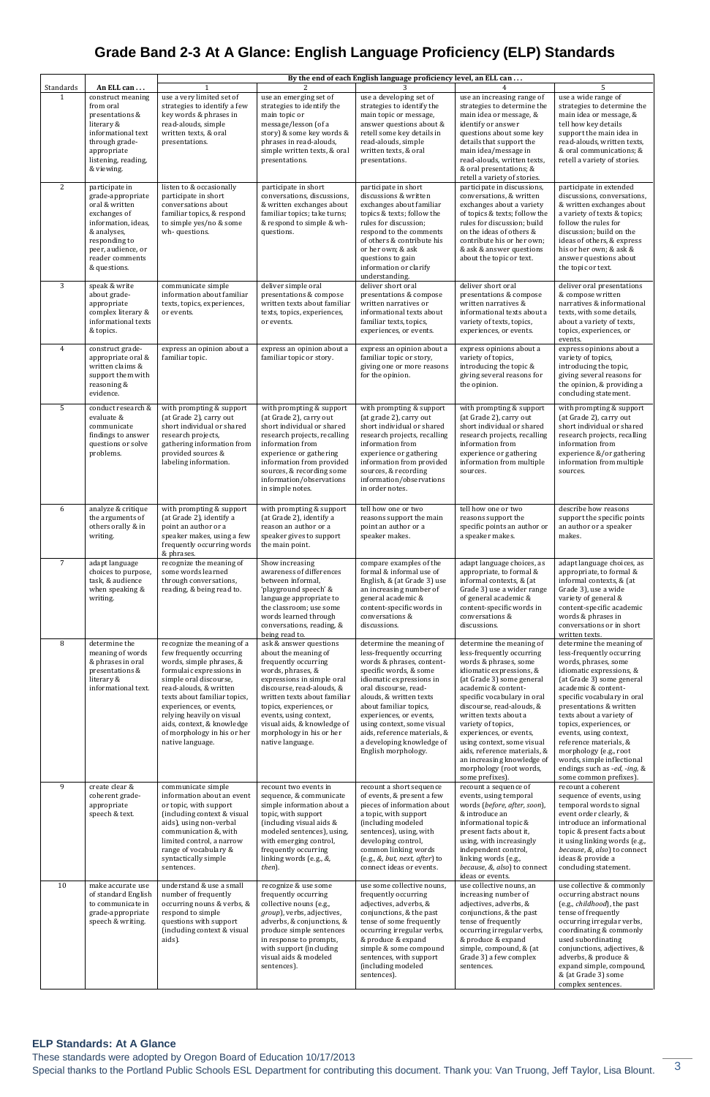These standards were adopted by Oregon Board of Education 10/17/2013

Special thanks to the Portland Public Schools ESL Department for contributing this document. Thank you: Van Truong, Jeff Taylor, Lisa Blount. 3

## **Grade Band 2-3 At A Glance: English Language Proficiency (ELP) Standards**

|                |                                                                                                                                                                                       | By the end of each English language proficiency level, an ELL can                                                                                                                                                                                                                                                                           |                                                                                                                                                                                                                                                                                                                            |                                                                                                                                                                                                                                                                                                                                                                     |                                                                                                                                                                                                                                                                                                                                                                                                                                                |                                                                                                                                                                                                                                                                                                                                                                                                                                                      |
|----------------|---------------------------------------------------------------------------------------------------------------------------------------------------------------------------------------|---------------------------------------------------------------------------------------------------------------------------------------------------------------------------------------------------------------------------------------------------------------------------------------------------------------------------------------------|----------------------------------------------------------------------------------------------------------------------------------------------------------------------------------------------------------------------------------------------------------------------------------------------------------------------------|---------------------------------------------------------------------------------------------------------------------------------------------------------------------------------------------------------------------------------------------------------------------------------------------------------------------------------------------------------------------|------------------------------------------------------------------------------------------------------------------------------------------------------------------------------------------------------------------------------------------------------------------------------------------------------------------------------------------------------------------------------------------------------------------------------------------------|------------------------------------------------------------------------------------------------------------------------------------------------------------------------------------------------------------------------------------------------------------------------------------------------------------------------------------------------------------------------------------------------------------------------------------------------------|
| Standards      | An ELL can                                                                                                                                                                            |                                                                                                                                                                                                                                                                                                                                             |                                                                                                                                                                                                                                                                                                                            |                                                                                                                                                                                                                                                                                                                                                                     |                                                                                                                                                                                                                                                                                                                                                                                                                                                | 5                                                                                                                                                                                                                                                                                                                                                                                                                                                    |
| 1              | construct meaning<br>from oral<br>presentations &<br>literary &<br>informational text<br>through grade-<br>appropriate<br>listening, reading,<br>& viewing.                           | use a very limited set of<br>strategies to identify a few<br>key words & phrases in<br>read-alouds, simple<br>written texts, & oral<br>presentations.                                                                                                                                                                                       | use an emerging set of<br>strategies to identify the<br>main topic or<br>message/lesson (of a<br>story) & some key words &<br>phrases in read-alouds,<br>simple written texts, & oral<br>presentations.                                                                                                                    | use a developing set of<br>strategies to identify the<br>main topic or message,<br>answer questions about &<br>retell some key details in<br>read-alouds, simple<br>written texts, & oral<br>presentations.                                                                                                                                                         | use an increasing range of<br>strategies to determine the<br>main idea or message, &<br>identify or answer<br>questions about some key<br>details that support the<br>main idea/message in<br>read-alouds, written texts,<br>& oral presentations; &<br>retell a variety of stories.                                                                                                                                                           | use a wide range of<br>strategies to determine the<br>main idea or message, &<br>tell how key details<br>support the main idea in<br>read-alouds, written texts,<br>& oral communications; &<br>retell a variety of stories.                                                                                                                                                                                                                         |
| 2              | participate in<br>grade-appropriate<br>oral & written<br>exchanges of<br>information, ideas,<br>& analyses,<br>responding to<br>peer, audience, or<br>reader comments<br>& questions. | listen to & occasionally<br>participate in short<br>conversations about<br>familiar topics, & respond<br>to simple yes/no & some<br>wh-questions.                                                                                                                                                                                           | participate in short<br>conversations, discussions,<br>& written exchanges about<br>familiar topics; take turns;<br>& respond to simple & wh-<br>questions.                                                                                                                                                                | participate in short<br>discussions & written<br>exchanges about familiar<br>topics & texts; follow the<br>rules for discussion;<br>respond to the comments<br>of others & contribute his<br>or her own; & ask<br>questions to gain<br>information or clarify<br>understanding.                                                                                     | participate in discussions,<br>conversations, & written<br>exchanges about a variety<br>of topics & texts; follow the<br>rules for discussion; build<br>on the ideas of others &<br>contribute his or her own;<br>& ask & answer questions<br>about the topic or text.                                                                                                                                                                         | participate in extended<br>discussions, conversations,<br>& written exchanges about<br>a variety of texts & topics;<br>follow the rules for<br>discussion; build on the<br>ideas of others, & express<br>his or her own; & ask &<br>answer questions about<br>the topic or text.                                                                                                                                                                     |
| 3              | speak & write<br>about grade-<br>appropriate<br>complex literary &<br>informational texts<br>& topics.                                                                                | communicate simple<br>information about familiar<br>texts, topics, experiences,<br>or events.                                                                                                                                                                                                                                               | deliver simple oral<br>presentations & compose<br>written texts about familiar<br>texts, topics, experiences,<br>or events.                                                                                                                                                                                                | deliver short oral<br>presentations & compose<br>written narratives or<br>informational texts about<br>familiar texts, topics,<br>experiences, or events.                                                                                                                                                                                                           | deliver short oral<br>presentations & compose<br>written narratives &<br>informational texts about a<br>variety of texts, topics,<br>experiences, or events.                                                                                                                                                                                                                                                                                   | deliver oral presentations<br>& compose written<br>narratives & informational<br>texts, with some details,<br>about a variety of texts,<br>topics, experiences, or<br>events.                                                                                                                                                                                                                                                                        |
| $\overline{4}$ | construct grade-<br>appropriate oral &<br>written claims &<br>support them with<br>reasoning &<br>evidence.                                                                           | express an opinion about a<br>familiar topic.                                                                                                                                                                                                                                                                                               | express an opinion about a<br>familiar topic or story.                                                                                                                                                                                                                                                                     | express an opinion about a<br>familiar topic or story,<br>giving one or more reasons<br>for the opinion.                                                                                                                                                                                                                                                            | express opinions about a<br>variety of topics,<br>introducing the topic &<br>giving several reasons for<br>the opinion.                                                                                                                                                                                                                                                                                                                        | express opinions about a<br>variety of topics,<br>introducing the topic,<br>giving several reasons for<br>the opinion, & providing a<br>concluding statement.                                                                                                                                                                                                                                                                                        |
| 5              | conduct research &<br>evaluate &<br>communicate<br>findings to answer<br>questions or solve<br>problems.                                                                              | with prompting & support<br>(at Grade 2), carry out<br>short individual or shared<br>research projects,<br>gathering information from<br>provided sources &<br>labeling information.                                                                                                                                                        | with prompting & support<br>(at Grade 2), carry out<br>short individual or shared<br>research projects, recalling<br>information from<br>experience or gathering<br>information from provided<br>sources, & recording some<br>information/observations<br>in simple notes.                                                 | with prompting & support<br>(at grade 2), carry out<br>short individual or shared<br>research projects, recalling<br>information from<br>experience or gathering<br>information from provided<br>sources, & recording<br>information/observations<br>in order notes.                                                                                                | with prompting & support<br>(at Grade 2), carry out<br>short individual or shared<br>research projects, recalling<br>information from<br>experience or gathering<br>information from multiple<br>sources.                                                                                                                                                                                                                                      | with prompting & support<br>(at Grade 2), carry out<br>short individual or shared<br>research projects, recalling<br>information from<br>experience &/or gathering<br>information from multiple<br>sources.                                                                                                                                                                                                                                          |
| 6              | analyze & critique<br>the arguments of<br>others orally & in<br>writing.                                                                                                              | with prompting & support<br>(at Grade 2), identify a<br>point an author or a<br>speaker makes, using a few<br>frequently occurring words<br>& phrases.                                                                                                                                                                                      | with prompting & support<br>(at Grade 2), identify a<br>reason an author or a<br>speaker gives to support<br>the main point.                                                                                                                                                                                               | tell how one or two<br>reasons support the main<br>point an author or a<br>speaker makes.                                                                                                                                                                                                                                                                           | tell how one or two<br>reasons support the<br>specific points an author or<br>a speaker makes.                                                                                                                                                                                                                                                                                                                                                 | describe how reasons<br>support the specific points<br>an author or a speaker<br>makes.                                                                                                                                                                                                                                                                                                                                                              |
| 7              | adapt language<br>choices to purpose,<br>task, & audience<br>when speaking &<br>writing.                                                                                              | recognize the meaning of<br>some words learned<br>through conversations,<br>reading, & being read to.                                                                                                                                                                                                                                       | Show increasing<br>awareness of differences<br>between informal,<br>'playground speech' &<br>language appropriate to<br>the classroom; use some<br>words learned through<br>conversations, reading, &<br>being read to.                                                                                                    | compare examples of the<br>formal & informal use of<br>English, & (at Grade 3) use<br>an increasing number of<br>general academic &<br>content-specific words in<br>conversations &<br>discussions.                                                                                                                                                                 | adapt language choices, as<br>appropriate, to formal &<br>informal contexts, & (at<br>Grade 3) use a wider range<br>of general academic &<br>content-specific words in<br>conversations &<br>discussions.                                                                                                                                                                                                                                      | adapt language choices, as<br>appropriate, to formal &<br>informal contexts, & (at<br>Grade 3), use a wide<br>variety of general &<br>content-specific academic<br>words & phrases in<br>conversations or in short<br>written texts.                                                                                                                                                                                                                 |
| 8              | determine the<br>meaning of words<br>& phrases in oral<br>presentations &<br>literary &<br>informational text.                                                                        | recognize the meaning of a<br>few frequently occurring<br>words, simple phrases, &<br>formulaic expressions in<br>simple oral discourse,<br>read-alouds, & written<br>texts about familiar topics,<br>experiences, or events,<br>relying heavily on visual<br>aids, context, & knowledge<br>of morphology in his or her<br>native language. | ask & answer questions<br>about the meaning of<br>frequently occurring<br>words, phrases, &<br>expressions in simple oral<br>discourse, read-alouds, &<br>written texts about familiar<br>topics, experiences, or<br>events, using context,<br>visual aids, & knowledge of<br>morphology in his or her<br>native language. | determine the meaning of<br>less-frequently occurring<br>words & phrases, content-<br>specific words, & some<br>idiomatic expressions in<br>oral discourse, read-<br>alouds, & written texts<br>about familiar topics,<br>experiences, or events,<br>using context, some visual<br>aids, reference materials, &<br>a developing knowledge of<br>English morphology. | determine the meaning of<br>less-frequently occurring<br>words & phrases, some<br>idiomatic expressions, &<br>(at Grade 3) some general<br>academic & content-<br>specific vocabulary in oral<br>discourse, read-alouds, &<br>written texts about a<br>variety of topics,<br>experiences, or events,<br>using context, some visual<br>aids, reference materials, &<br>an increasing knowledge of<br>morphology (root words,<br>some prefixes). | determine the meaning of<br>less-frequently occurring<br>words, phrases, some<br>idiomatic expressions, &<br>(at Grade 3) some general<br>academic & content-<br>specific vocabulary in oral<br>presentations & written<br>texts about a variety of<br>topics, experiences, or<br>events, using context,<br>reference materials, &<br>morphology (e.g., root<br>words, simple inflectional<br>endings such as -ed, -ing, &<br>some common prefixes). |
| 9              | create clear &<br>coherent grade-<br>appropriate<br>speech & text.                                                                                                                    | communicate simple<br>information about an event<br>or topic, with support<br>(including context & visual<br>aids), using non-verbal<br>communication &, with<br>limited control, a narrow<br>range of vocabulary &<br>syntactically simple<br>sentences.                                                                                   | recount two events in<br>sequence, & communicate<br>simple information about a<br>topic, with support<br>(including visual aids &<br>modeled sentences), using,<br>with emerging control,<br>frequently occurring<br>linking words (e.g., &,<br>then).                                                                     | recount a short sequence<br>of events, & present a few<br>pieces of information about<br>a topic, with support<br>(including modeled<br>sentences), using, with<br>developing control,<br>common linking words<br>(e.g., &, but, next, after) to<br>connect ideas or events.                                                                                        | recount a sequence of<br>events, using temporal<br>words (before, after, soon),<br>& introduce an<br>informational topic &<br>present facts about it,<br>using, with increasingly<br>independent control,<br>linking words (e.g.,<br>because, &, also) to connect<br>ideas or events.                                                                                                                                                          | recount a coherent<br>sequence of events, using<br>temporal words to signal<br>event order clearly, &<br>introduce an informational<br>topic & present facts about<br>it using linking words (e.g.,<br>because, &, also) to connect<br>ideas & provide a<br>concluding statement.                                                                                                                                                                    |
| $10\,$         | make accurate use<br>of standard English<br>to communicate in<br>grade-appropriate<br>speech & writing.                                                                               | understand & use a small<br>number of frequently<br>occurring nouns & verbs, &<br>respond to simple<br>questions with support<br>(including context & visual<br>aids).                                                                                                                                                                      | recognize & use some<br>frequently occurring<br>collective nouns (e.g.,<br>group), verbs, adjectives,<br>adverbs, & conjunctions, &<br>produce simple sentences<br>in response to prompts,<br>with support (including<br>visual aids & modeled<br>sentences).                                                              | use some collective nouns,<br>frequently occurring<br>adjectives, adverbs, &<br>conjunctions, & the past<br>tense of some frequently<br>occurring irregular verbs,<br>& produce & expand<br>simple & some compound<br>sentences, with support<br>(including modeled<br>sentences).                                                                                  | use collective nouns, an<br>increasing number of<br>adjectives, adverbs, &<br>conjunctions, & the past<br>tense of frequently<br>occurring irregular verbs,<br>& produce & expand<br>simple, compound, & (at<br>Grade 3) a few complex<br>sentences.                                                                                                                                                                                           | use collective & commonly<br>occurring abstract nouns<br>(e.g., childhood), the past<br>tense of frequently<br>occurring irregular verbs,<br>coordinating & commonly<br>used subordinating<br>conjunctions, adjectives, &<br>adverbs, & produce &<br>expand simple, compound,<br>& (at Grade 3) some<br>complex sentences.                                                                                                                           |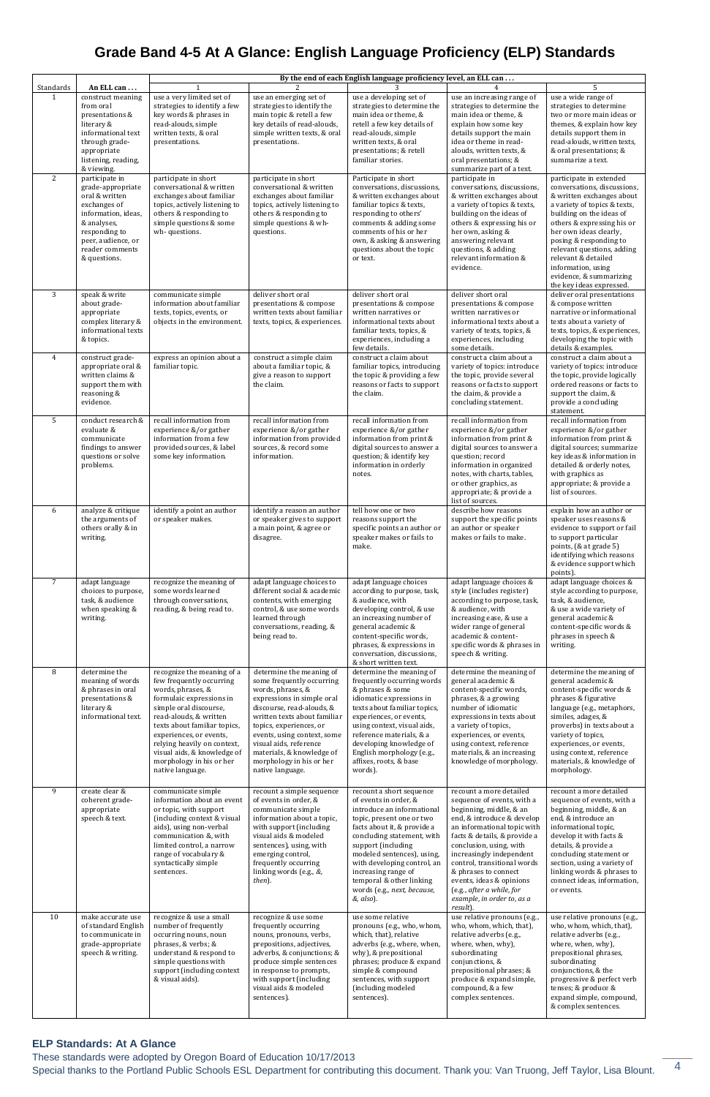These standards were adopted by Oregon Board of Education 10/17/2013

Special thanks to the Portland Public Schools ESL Department for contributing this document. Thank you: Van Truong, Jeff Taylor, Lisa Blount. 4

## **Grade Band 4-5 At A Glance: English Language Proficiency (ELP) Standards**

|                |                                                                                                                                                                                                     | By the end of each English language proficiency level, an ELL can                                                                                                                                                                                                                                                                    |                                                                                                                                                                                                                                                                                                                                        |                                                                                                                                                                                                                                                                                                                                                             |                                                                                                                                                                                                                                                                                                                                                                                                |                                                                                                                                                                                                                                                                                                                                                                     |
|----------------|-----------------------------------------------------------------------------------------------------------------------------------------------------------------------------------------------------|--------------------------------------------------------------------------------------------------------------------------------------------------------------------------------------------------------------------------------------------------------------------------------------------------------------------------------------|----------------------------------------------------------------------------------------------------------------------------------------------------------------------------------------------------------------------------------------------------------------------------------------------------------------------------------------|-------------------------------------------------------------------------------------------------------------------------------------------------------------------------------------------------------------------------------------------------------------------------------------------------------------------------------------------------------------|------------------------------------------------------------------------------------------------------------------------------------------------------------------------------------------------------------------------------------------------------------------------------------------------------------------------------------------------------------------------------------------------|---------------------------------------------------------------------------------------------------------------------------------------------------------------------------------------------------------------------------------------------------------------------------------------------------------------------------------------------------------------------|
| Standards      | An ELL can                                                                                                                                                                                          |                                                                                                                                                                                                                                                                                                                                      |                                                                                                                                                                                                                                                                                                                                        |                                                                                                                                                                                                                                                                                                                                                             |                                                                                                                                                                                                                                                                                                                                                                                                | 5                                                                                                                                                                                                                                                                                                                                                                   |
| $\mathbf{1}$   | construct meaning<br>from oral<br>presentations &<br>literary &<br>informational text<br>through grade-<br>appropriate<br>listening, reading,                                                       | use a very limited set of<br>strategies to identify a few<br>key words & phrases in<br>read-alouds, simple<br>written texts, & oral<br>presentations.                                                                                                                                                                                | use an emerging set of<br>strategies to identify the<br>main topic & retell a few<br>key details of read-alouds,<br>simple written texts, & oral<br>presentations.                                                                                                                                                                     | use a developing set of<br>strategies to determine the<br>main idea or theme, &<br>retell a few key details of<br>read-alouds, simple<br>written texts, & oral<br>presentations; & retell<br>familiar stories.                                                                                                                                              | use an increasing range of<br>strategies to determine the<br>main idea or theme, &<br>explain how some key<br>details support the main<br>idea or theme in read-<br>alouds, written texts, &<br>oral presentations; &                                                                                                                                                                          | use a wide range of<br>strategies to determine<br>two or more main ideas or<br>themes, & explain how key<br>details support them in<br>read-alouds, written texts,<br>& oral presentations; &<br>summarize a text.                                                                                                                                                  |
| 2              | & viewing.<br>participate in<br>grade-appropriate<br>oral & written<br>exchanges of<br>information, ideas,<br>& analyses,<br>responding to<br>peer, audience, or<br>reader comments<br>& questions. | participate in short<br>conversational & written<br>exchanges about familiar<br>topics, actively listening to<br>others & responding to<br>simple questions & some<br>wh-questions.                                                                                                                                                  | participate in short<br>conversational & written<br>exchanges about familiar<br>topics, actively listening to<br>others & responding to<br>simple questions & wh-<br>questions.                                                                                                                                                        | Participate in short<br>conversations, discussions,<br>& written exchanges about<br>familiar topics & texts,<br>responding to others'<br>comments & adding some<br>comments of his or her<br>own, & asking & answering<br>questions about the topic<br>or text.                                                                                             | summarize part of a text.<br>participate in<br>conversations, discussions,<br>& written exchanges about<br>a variety of topics & texts,<br>building on the ideas of<br>others & expressing his or<br>her own, asking &<br>answering relevant<br>questions, & adding<br>relevant information &<br>evidence.                                                                                     | participate in extended<br>conversations, discussions,<br>& written exchanges about<br>a variety of topics & texts,<br>building on the ideas of<br>others & expressing his or<br>her own ideas clearly,<br>posing & responding to<br>relevant questions, adding<br>relevant & detailed<br>information, using<br>evidence, & summarizing<br>the key ideas expressed. |
| 3              | speak & write<br>about grade-<br>appropriate<br>complex literary &<br>informational texts<br>& topics.                                                                                              | communicate simple<br>information about familiar<br>texts, topics, events, or<br>objects in the environment.                                                                                                                                                                                                                         | deliver short oral<br>presentations & compose<br>written texts about familiar<br>texts, topics, & experiences.                                                                                                                                                                                                                         | deliver short oral<br>presentations & compose<br>written narratives or<br>informational texts about<br>familiar texts, topics, &<br>experiences, including a<br>few details.                                                                                                                                                                                | deliver short oral<br>presentations & compose<br>written narratives or<br>informational texts about a<br>variety of texts, topics, &<br>experiences, including<br>some details.                                                                                                                                                                                                                | deliver oral presentations<br>& compose written<br>narrative or informational<br>texts about a variety of<br>texts, topics, & experiences,<br>developing the topic with<br>details & examples.                                                                                                                                                                      |
| $\overline{4}$ | construct grade-<br>appropriate oral &<br>written claims &<br>support them with<br>reasoning &<br>evidence.                                                                                         | express an opinion about a<br>familiar topic.                                                                                                                                                                                                                                                                                        | construct a simple claim<br>about a familiar topic, &<br>give a reason to support<br>the claim.                                                                                                                                                                                                                                        | construct a claim about<br>familiar topics, introducing<br>the topic & providing a few<br>reasons or facts to support<br>the claim.                                                                                                                                                                                                                         | construct a claim about a<br>variety of topics: introduce<br>the topic, provide several<br>reasons or facts to support<br>the claim, & provide a<br>concluding statement.                                                                                                                                                                                                                      | construct a claim about a<br>variety of topics: introduce<br>the topic, provide logically<br>ordered reasons or facts to<br>support the claim, &<br>provide a concluding<br>statement.                                                                                                                                                                              |
| 5              | conduct research &<br>evaluate &<br>communicate<br>findings to answer<br>questions or solve<br>problems.                                                                                            | recall information from<br>experience &/or gather<br>information from a few<br>provided sources, & label<br>some key information.                                                                                                                                                                                                    | recall information from<br>experience &/or gather<br>information from provided<br>sources, & record some<br>information.                                                                                                                                                                                                               | recall information from<br>experience &/or gather<br>information from print &<br>digital sources to answer a<br>question; & identify key<br>information in orderly<br>notes.                                                                                                                                                                                | recall information from<br>experience &/or gather<br>information from print &<br>digital sources to answer a<br>question; record<br>information in organized<br>notes, with charts, tables,<br>or other graphics, as<br>appropriate; & provide a<br>list of sources.                                                                                                                           | recall information from<br>experience &/or gather<br>information from print &<br>digital sources; summarize<br>key ideas & information in<br>detailed & orderly notes,<br>with graphics as<br>appropriate; & provide a<br>list of sources.                                                                                                                          |
| 6              | analyze & critique<br>the arguments of<br>others orally & in<br>writing.                                                                                                                            | identify a point an author<br>or speaker makes.                                                                                                                                                                                                                                                                                      | identify a reason an author<br>or speaker gives to support<br>a main point, & agree or<br>disagree.                                                                                                                                                                                                                                    | tell how one or two<br>reasons support the<br>specific points an author or<br>speaker makes or fails to<br>make.                                                                                                                                                                                                                                            | describe how reasons<br>support the specific points<br>an author or speaker<br>makes or fails to make.                                                                                                                                                                                                                                                                                         | explain how an author or<br>speaker uses reasons &<br>evidence to support or fail<br>to support particular<br>points, (& at grade 5)<br>identifying which reasons<br>& evidence support which<br>points).                                                                                                                                                           |
| 7              | adapt language<br>choices to purpose,<br>task, & audience<br>when speaking &<br>writing.                                                                                                            | recognize the meaning of<br>some words learned<br>through conversations.<br>reading, & being read to.                                                                                                                                                                                                                                | adapt language choices to<br>different social & academic<br>contents, with emerging<br>control, & use some words<br>learned through<br>conversations, reading, &<br>being read to.                                                                                                                                                     | adapt language choices<br>according to purpose, task,<br>& audience, with<br>developing control, & use<br>an increasing number of<br>general academic &<br>content-specific words,<br>phrases, & expressions in<br>conversation, discussions,<br>& short written text.                                                                                      | adapt language choices &<br>style (includes register)<br>according to purpose, task,<br>& audience, with<br>increasing ease, & use a<br>wider range of general<br>academic & content-<br>specific words & phrases in<br>speech & writing.                                                                                                                                                      | adapt language choices &<br>style according to purpose,<br>task, & audience,<br>& use a wide variety of<br>general academic &<br>content-specific words &<br>phrases in speech &<br>writing.                                                                                                                                                                        |
| 8              | determine the<br>meaning of words<br>& phrases in oral<br>presentations &<br>literary &<br>informational text.                                                                                      | recognize the meaning of a<br>few frequently occurring<br>words, phrases, &<br>formulaic expressions in<br>simple oral discourse,<br>read-alouds, & written<br>texts about familiar topics,<br>experiences, or events,<br>relying heavily on context,<br>visual aids, & knowledge of<br>morphology in his or her<br>native language. | determine the meaning of<br>some frequently occurring<br>words, phrases, &<br>expressions in simple oral<br>discourse, read-alouds, &<br>written texts about familiar<br>topics, experiences, or<br>events, using context, some<br>visual aids, reference<br>materials, & knowledge of<br>morphology in his or her<br>native language. | determine the meaning of<br>frequently occurring words<br>& phrases & some<br>idiomatic expressions in<br>texts about familiar topics,<br>experiences, or events,<br>using context, visual aids,<br>reference materials, & a<br>developing knowledge of<br>English morphology (e.g.,<br>affixes, roots, & base<br>words).                                   | determine the meaning of<br>general academic &<br>content-specific words,<br>phrases, & a growing<br>number of idiomatic<br>expressions in texts about<br>a variety of topics,<br>experiences, or events,<br>using context, reference<br>materials, & an increasing<br>knowledge of morphology.                                                                                                | determine the meaning of<br>general academic &<br>content-specific words &<br>phrases & figurative<br>language (e.g., metaphors,<br>similes, adages, &<br>proverbs) in texts about a<br>variety of topics,<br>experiences, or events,<br>using context, reference<br>materials, & knowledge of<br>morphology.                                                       |
| 9              | create clear &<br>coherent grade-<br>appropriate<br>speech & text.                                                                                                                                  | communicate simple<br>information about an event<br>or topic, with support<br>(including context & visual<br>aids), using non-verbal<br>communication &, with<br>limited control, a narrow<br>range of vocabulary &<br>syntactically simple<br>sentences.                                                                            | recount a simple sequence<br>of events in order, &<br>communicate simple<br>information about a topic,<br>with support (including<br>visual aids & modeled<br>sentences), using, with<br>emerging control,<br>frequently occurring<br>linking words (e.g., &,<br>then).                                                                | recount a short sequence<br>of events in order, &<br>introduce an informational<br>topic, present one or two<br>facts about it, & provide a<br>concluding statement, with<br>support (including<br>modeled sentences), using,<br>with developing control, an<br>increasing range of<br>temporal & other linking<br>words (e.g., next, because,<br>&, also). | recount a more detailed<br>sequence of events, with a<br>beginning, middle, & an<br>end, & introduce & develop<br>an informational topic with<br>facts & details, & provide a<br>conclusion, using, with<br>increasingly independent<br>control, transitional words<br>& phrases to connect<br>events, ideas & opinions<br>(e.g., after a while, for<br>example, in order to, as a<br>result). | recount a more detailed<br>sequence of events, with a<br>beginning, middle, & an<br>end, & introduce an<br>informational topic,<br>develop it with facts &<br>details, & provide a<br>concluding statement or<br>section, using a variety of<br>linking words & phrases to<br>connect ideas, information,<br>or events.                                             |
| 10             | make accurate use<br>of standard English<br>to communicate in<br>grade-appropriate<br>speech & writing.                                                                                             | recognize & use a small<br>number of frequently<br>occurring nouns, noun<br>phrases, & verbs; &<br>understand & respond to<br>simple questions with<br>support (including context<br>& visual aids).                                                                                                                                 | recognize & use some<br>frequently occurring<br>nouns, pronouns, verbs,<br>prepositions, adjectives,<br>adverbs, & conjunctions; &<br>produce simple sentences<br>in response to prompts,<br>with support (including<br>visual aids & modeled<br>sentences).                                                                           | use some relative<br>pronouns (e.g., who, whom,<br>which, that), relative<br>adverbs (e.g., where, when,<br>why), & prepositional<br>phrases; produce & expand<br>simple & compound<br>sentences, with support<br>(including modeled<br>sentences).                                                                                                         | use relative pronouns (e.g.,<br>who, whom, which, that),<br>relative adverbs (e.g.,<br>where, when, why),<br>subordinating<br>conjunctions, &<br>prepositional phrases; &<br>produce & expand simple,<br>compound, & a few<br>complex sentences.                                                                                                                                               | use relative pronouns (e.g.,<br>who, whom, which, that),<br>relative adverbs (e.g.,<br>where, when, why),<br>prepositional phrases,<br>subordinating<br>conjunctions, & the<br>progressive & perfect verb<br>tenses; & produce &<br>expand simple, compound,<br>& complex sentences.                                                                                |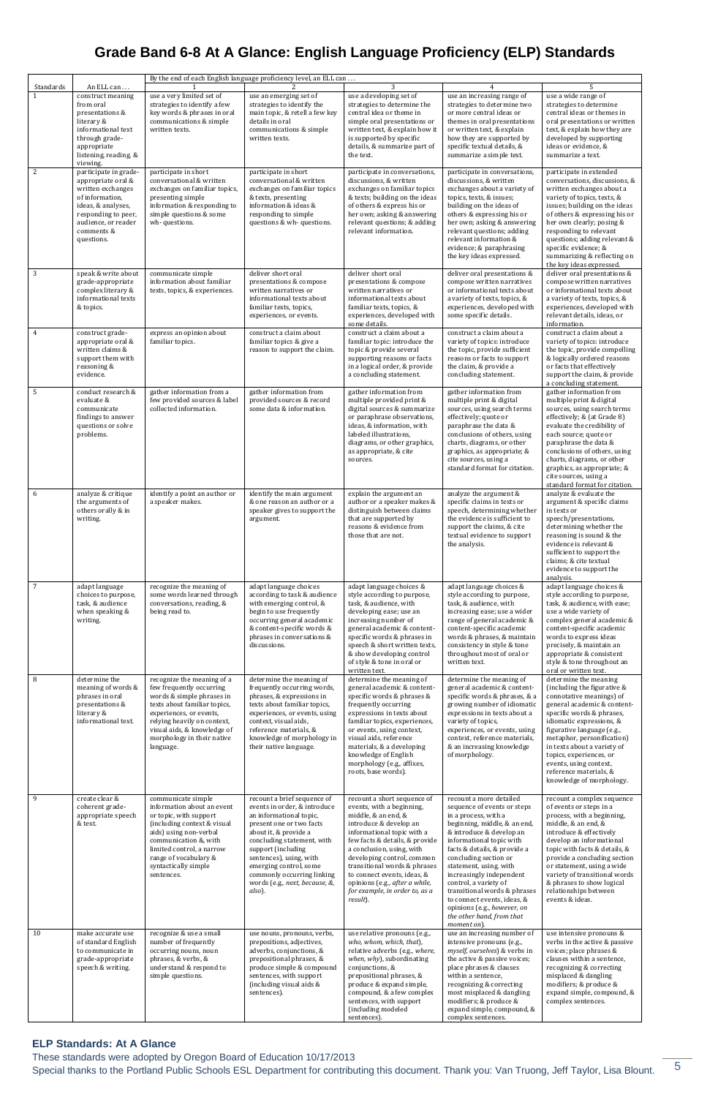These standards were adopted by Oregon Board of Education 10/17/2013

Special thanks to the Portland Public Schools ESL Department for contributing this document. Thank you: Van Truong, Jeff Taylor, Lisa Blount. 5

## **Grade Band 6-8 At A Glance: English Language Proficiency (ELP) Standards**

| Standards    | An ELL can                                                                                                                                                                          | By the end of each English language proficiency level, an ELL can<br>3<br>5<br>4                                                                                                                                                                         |                                                                                                                                                                                                                                                                                                                                |                                                                                                                                                                                                                                                                                                                                                                                     |                                                                                                                                                                                                                                                                                                                                                                                                                                                          |                                                                                                                                                                                                                                                                                                                                                                                |  |
|--------------|-------------------------------------------------------------------------------------------------------------------------------------------------------------------------------------|----------------------------------------------------------------------------------------------------------------------------------------------------------------------------------------------------------------------------------------------------------|--------------------------------------------------------------------------------------------------------------------------------------------------------------------------------------------------------------------------------------------------------------------------------------------------------------------------------|-------------------------------------------------------------------------------------------------------------------------------------------------------------------------------------------------------------------------------------------------------------------------------------------------------------------------------------------------------------------------------------|----------------------------------------------------------------------------------------------------------------------------------------------------------------------------------------------------------------------------------------------------------------------------------------------------------------------------------------------------------------------------------------------------------------------------------------------------------|--------------------------------------------------------------------------------------------------------------------------------------------------------------------------------------------------------------------------------------------------------------------------------------------------------------------------------------------------------------------------------|--|
| $\mathbf{1}$ | construct meaning<br>from oral<br>presentations &<br>literary &<br>informational text<br>through grade-<br>appropriate<br>listening, reading, &<br>viewing.                         | use a very limited set of<br>strategies to identify a few<br>key words & phrases in oral<br>communications & simple<br>written texts.                                                                                                                    | use an emerging set of<br>strategies to identify the<br>main topic, & retell a few key<br>details in oral<br>communications & simple<br>written texts.                                                                                                                                                                         | use a developing set of<br>strategies to determine the<br>central idea or theme in<br>simple oral presentations or<br>written text, & explain how it<br>is supported by specific<br>details, & summarize part of<br>the text.                                                                                                                                                       | use an increasing range of<br>strategies to determine two<br>or more central ideas or<br>themes in oral presentations<br>or written text, & explain<br>how they are supported by<br>specific textual details, &<br>summarize a simple text.                                                                                                                                                                                                              | use a wide range of<br>strategies to determine<br>central ideas or themes in<br>oral presentations or written<br>text, & explain how they are<br>developed by supporting<br>ideas or evidence, &<br>summarize a text.                                                                                                                                                          |  |
| 2            | participate in grade-<br>appropriate oral &<br>written exchanges<br>of information,<br>ideas, & analyses,<br>responding to peer,<br>audience, or reader<br>comments &<br>questions. | participate in short<br>conversational & written<br>exchanges on familiar topics,<br>presenting simple<br>information & responding to<br>simple questions & some<br>wh-questions.                                                                        | participate in short<br>conversational & written<br>exchanges on familiar topics<br>& texts, presenting<br>information & ideas &<br>responding to simple<br>questions & wh- questions.                                                                                                                                         | participate in conversations,<br>discussions, & written<br>exchanges on familiar topics<br>& texts; building on the ideas<br>of others & express his or<br>her own; asking & answering<br>relevant questions; & adding<br>relevant information.                                                                                                                                     | participate in conversations,<br>discussions, & written<br>exchanges about a variety of<br>topics, texts, & issues;<br>building on the ideas of<br>others & expressing his or<br>her own; asking & answering<br>relevant questions; adding<br>relevant information &<br>evidence; & paraphrasing<br>the key ideas expressed.                                                                                                                             | participate in extended<br>conversations, discussions, &<br>written exchanges about a<br>variety of topics, texts, &<br>issues; building on the ideas<br>of others & expressing his or<br>her own clearly; posing &<br>responding to relevant<br>questions; adding relevant &<br>specific evidence; &<br>summarizing & reflecting on<br>the key ideas expressed.               |  |
| 3            | speak & write about<br>grade-appropriate<br>complex literary &<br>informational texts<br>& topics.                                                                                  | communicate simple<br>information about familiar<br>texts, topics, & experiences.                                                                                                                                                                        | deliver short oral<br>presentations & compose<br>written narratives or<br>informational texts about<br>familiar texts, topics,<br>experiences, or events.                                                                                                                                                                      | deliver short oral<br>presentations & compose<br>written narratives or<br>informational texts about<br>familiar texts, topics, &<br>experiences, developed with<br>some details.                                                                                                                                                                                                    | deliver oral presentations &<br>compose written narratives<br>or informational texts about<br>a variety of texts, topics, &<br>experiences, developed with<br>some specific details.                                                                                                                                                                                                                                                                     | deliver oral presentations &<br>compose written narratives<br>or informational texts about<br>a variety of texts, topics, &<br>experiences, developed with<br>relevant details, ideas, or<br>information.                                                                                                                                                                      |  |
| 4            | construct grade-<br>appropriate oral &<br>written claims &<br>support them with<br>reasoning &<br>evidence.                                                                         | express an opinion about<br>familiar topics.                                                                                                                                                                                                             | construct a claim about<br>familiar topics & give a<br>reason to support the claim.                                                                                                                                                                                                                                            | construct a claim about a<br>familiar topic: introduce the<br>topic & provide several<br>supporting reasons or facts<br>in a logical order, & provide<br>a concluding statement.                                                                                                                                                                                                    | construct a claim about a<br>variety of topics: introduce<br>the topic, provide sufficient<br>reasons or facts to support<br>the claim, & provide a<br>concluding statement.                                                                                                                                                                                                                                                                             | construct a claim about a<br>variety of topics: introduce<br>the topic, provide compelling<br>& logically ordered reasons<br>or facts that effectively<br>support the claim, & provide<br>a concluding statement.                                                                                                                                                              |  |
| 5            | conduct research &<br>evaluate &<br>communicate<br>findings to answer<br>questions or solve<br>problems.                                                                            | gather information from a<br>few provided sources & label<br>collected information.                                                                                                                                                                      | gather information from<br>provided sources & record<br>some data & information.                                                                                                                                                                                                                                               | gather information from<br>multiple provided print &<br>digital sources & summarize<br>or paraphrase observations,<br>ideas, & information, with<br>labeled illustrations,<br>diagrams, or other graphics,<br>as appropriate, & cite<br>sources.                                                                                                                                    | gather information from<br>multiple print & digital<br>sources, using search terms<br>effectively; quote or<br>paraphrase the data &<br>conclusions of others, using<br>charts, diagrams, or other<br>graphics, as appropriate; &<br>cite sources, using a<br>standard format for citation.                                                                                                                                                              | gather information from<br>multiple print & digital<br>sources, using search terms<br>effectively; & (at Grade 8)<br>evaluate the credibility of<br>each source; quote or<br>paraphrase the data &<br>conclusions of others, using<br>charts, diagrams, or other<br>graphics, as appropriate; &<br>cite sources, using a<br>standard format for citation.                      |  |
| 6            | analyze & critique<br>the arguments of<br>others orally & in<br>writing.                                                                                                            | identify a point an author or<br>a speaker makes.                                                                                                                                                                                                        | identify the main argument<br>& one reason an author or a<br>speaker gives to support the<br>argument.                                                                                                                                                                                                                         | explain the argument an<br>author or a speaker makes &<br>distinguish between claims<br>that are supported by<br>reasons & evidence from<br>those that are not.                                                                                                                                                                                                                     | analyze the argument &<br>specific claims in texts or<br>speech, determining whether<br>the evidence is sufficient to<br>support the claims, & cite<br>textual evidence to support<br>the analysis.                                                                                                                                                                                                                                                      | analyze & evaluate the<br>argument & specific claims<br>in texts or<br>speech/presentations,<br>determining whether the<br>reasoning is sound & the<br>evidence is relevant &<br>sufficient to support the<br>claims; & cite textual<br>evidence to support the<br>analysis.                                                                                                   |  |
| 7            | adapt language<br>choices to purpose,<br>task, & audience<br>when speaking &<br>writing.                                                                                            | recognize the meaning of<br>some words learned through<br>conversations, reading, &<br>being read to.                                                                                                                                                    | adapt language choices<br>according to task & audience<br>with emerging control, &<br>begin to use frequently<br>occurring general academic<br>& content-specific words &<br>phrases in conversations &<br>discussions.                                                                                                        | adapt language choices &<br>style according to purpose,<br>task, & audience, with<br>developing ease; use an<br>increasing number of<br>general academic & content-<br>specific words & phrases in<br>speech & short written texts,<br>& show developing control<br>of style & tone in oral or<br>written text.                                                                     | adapt language choices &<br>style according to purpose,<br>task, & audience, with<br>increasing ease; use a wider<br>range of general academic &<br>content-specific academic<br>words & phrases, & maintain<br>consistency in style & tone<br>throughout most of oral or<br>written text.                                                                                                                                                               | adapt language choices &<br>style according to purpose,<br>task, & audience, with ease;<br>use a wide variety of<br>complex general academic &<br>content-specific academic<br>words to express ideas<br>precisely, & maintain an<br>appropriate & consistent<br>style & tone throughout an<br>oral or written text.                                                           |  |
| 8            | determine the<br>meaning of words &<br>phrases in oral<br>presentations &<br>literary &<br>informational text.                                                                      | recognize the meaning of a<br>few frequently occurring<br>words & simple phrases in<br>texts about familiar topics,<br>experiences, or events,<br>relying heavily on context,<br>visual aids, & knowledge of<br>morphology in their native<br>language.  | determine the meaning of<br>frequently occurring words,<br>phrases, & expressions in<br>texts about familiar topics,<br>experiences, or events, using<br>context, visual aids,<br>reference materials, &<br>knowledge of morphology in<br>their native language.                                                               | determine the meaning of<br>general academic & content-<br>specific words & phrases &<br>frequently occurring<br>expressions in texts about<br>familiar topics, experiences,<br>or events, using context,<br>visual aids, reference<br>materials, & a developing<br>knowledge of English<br>morphology (e.g., affixes,<br>roots, base words).                                       | determine the meaning of<br>general academic & content-<br>specific words & phrases, & a<br>growing number of idiomatic<br>expressions in texts about a<br>variety of topics,<br>experiences, or events, using<br>context, reference materials,<br>& an increasing knowledge<br>of morphology.                                                                                                                                                           | determine the meaning<br>(including the figurative &<br>connotative meanings) of<br>general academic & content-<br>specific words & phrases,<br>idiomatic expressions, &<br>figurative language (e.g.,<br>metaphor, personification)<br>in texts about a variety of<br>topics, experiences, or<br>events, using context,<br>reference materials, &<br>knowledge of morphology. |  |
| 9            | create clear &<br>coherent grade-<br>appropriate speech<br>& text.                                                                                                                  | communicate simple<br>information about an event<br>or topic, with support<br>(including context & visual<br>aids) using non-verbal<br>communication &, with<br>limited control, a narrow<br>range of vocabulary &<br>syntactically simple<br>sentences. | recount a brief sequence of<br>events in order, & introduce<br>an informational topic,<br>present one or two facts<br>about it, & provide a<br>concluding statement, with<br>support (including<br>sentences), using, with<br>emerging control, some<br>commonly occurring linking<br>words (e.g., next, because, &,<br>also). | recount a short sequence of<br>events, with a beginning,<br>middle, & an end, &<br>introduce & develop an<br>informational topic with a<br>few facts & details, & provide<br>a conclusion, using, with<br>developing control, common<br>transitional words & phrases<br>to connect events, ideas, &<br>opinions (e.g., after a while,<br>for example, in order to, as a<br>result). | recount a more detailed<br>sequence of events or steps<br>in a process, with a<br>beginning, middle, & an end,<br>& introduce & develop an<br>informational topic with<br>facts & details, & provide a<br>concluding section or<br>statement, using, with<br>increasingly independent<br>control, a variety of<br>transitional words & phrases<br>to connect events, ideas, &<br>opinions (e.g., however, on<br>the other hand, from that<br>moment on). | recount a complex sequence<br>of events or steps in a<br>process, with a beginning,<br>middle, & an end, &<br>introduce & effectively<br>develop an informational<br>topic with facts & details, &<br>provide a concluding section<br>or statement, using a wide<br>variety of transitional words<br>& phrases to show logical<br>relationships between<br>events & ideas.     |  |
| 10           | make accurate use<br>of standard English<br>to communicate in<br>grade-appropriate<br>speech & writing.                                                                             | recognize & use a small<br>number of frequently<br>occurring nouns, noun<br>phrases, & verbs, &<br>understand & respond to<br>simple questions.                                                                                                          | use nouns, pronouns, verbs,<br>prepositions, adjectives,<br>adverbs, conjunctions, &<br>prepositional phrases, &<br>produce simple & compound<br>sentences, with support<br>(including visual aids &<br>sentences).                                                                                                            | use relative pronouns (e.g.,<br>who, whom, which, that),<br>relative adverbs (e.g., where,<br>when, why), subordinating<br>conjunctions, &<br>prepositional phrases, &<br>produce & expand simple,<br>compound, & a few complex<br>sentences, with support<br>(including modeled<br>sentences).                                                                                     | use an increasing number of<br>intensive pronouns (e.g.,<br>myself, ourselves) & verbs in<br>the active & passive voices;<br>place phrases & clauses<br>within a sentence,<br>recognizing & correcting<br>most misplaced & dangling<br>modifiers; & produce &<br>expand simple, compound, &<br>complex sentences.                                                                                                                                        | use intensive pronouns &<br>verbs in the active & passive<br>voices; place phrases &<br>clauses within a sentence,<br>recognizing & correcting<br>misplaced & dangling<br>modifiers; & produce &<br>expand simple, compound, &<br>complex sentences.                                                                                                                           |  |